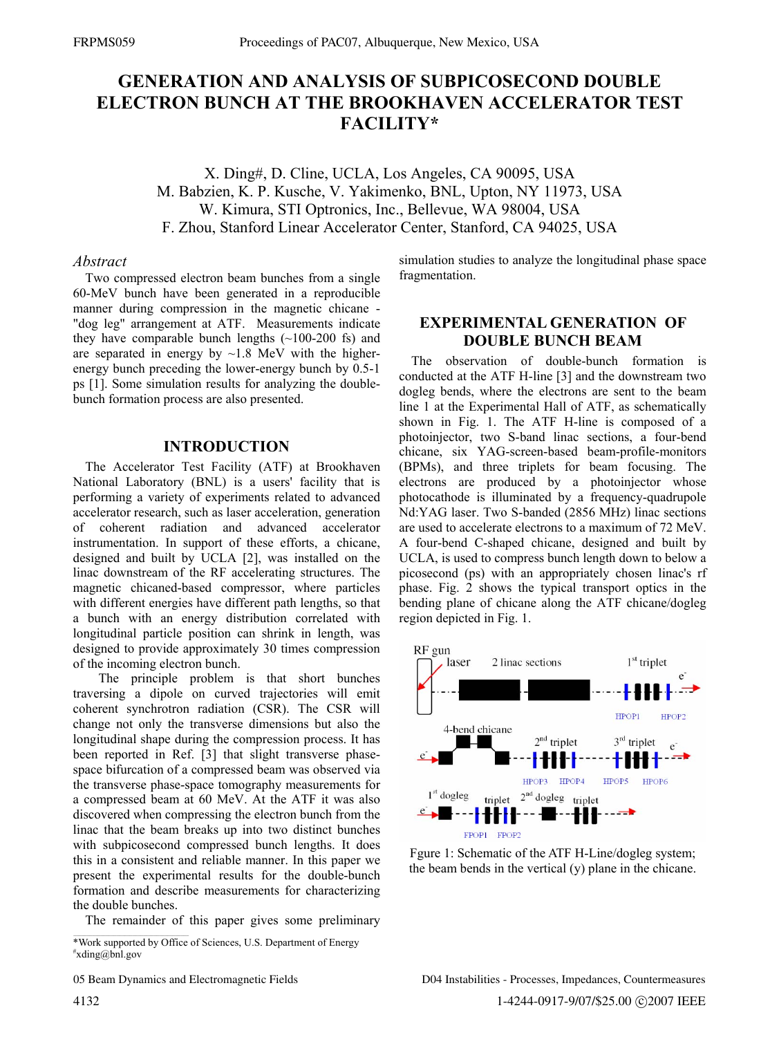# **GENERATION AND ANALYSIS OF SUBPICOSECOND DOUBLE ELECTRON BUNCH AT THE BROOKHAVEN ACCELERATOR TEST FACILITY\***

X. Ding#, D. Cline, UCLA, Los Angeles, CA 90095, USA M. Babzien, K. P. Kusche, V. Yakimenko, BNL, Upton, NY 11973, USA W. Kimura, STI Optronics, Inc., Bellevue, WA 98004, USA F. Zhou, Stanford Linear Accelerator Center, Stanford, CA 94025, USA

### *Abstract*

Two compressed electron beam bunches from a single 60-MeV bunch have been generated in a reproducible manner during compression in the magnetic chicane - "dog leg" arrangement at ATF. Measurements indicate they have comparable bunch lengths  $(\sim 100-200)$  fs) and are separated in energy by  $\sim$ 1.8 MeV with the higherenergy bunch preceding the lower-energy bunch by 0.5-1 ps [1]. Some simulation results for analyzing the doublebunch formation process are also presented.

## **INTRODUCTION**

The Accelerator Test Facility (ATF) at Brookhaven National Laboratory (BNL) is a users' facility that is performing a variety of experiments related to advanced accelerator research, such as laser acceleration, generation of coherent radiation and advanced accelerator instrumentation. In support of these efforts, a chicane, designed and built by UCLA [2], was installed on the linac downstream of the RF accelerating structures. The magnetic chicaned-based compressor, where particles with different energies have different path lengths, so that a bunch with an energy distribution correlated with longitudinal particle position can shrink in length, was designed to provide approximately 30 times compression of the incoming electron bunch.

 The principle problem is that short bunches traversing a dipole on curved trajectories will emit coherent synchrotron radiation (CSR). The CSR will change not only the transverse dimensions but also the longitudinal shape during the compression process. It has been reported in Ref. [3] that slight transverse phasespace bifurcation of a compressed beam was observed via the transverse phase-space tomography measurements for a compressed beam at 60 MeV. At the ATF it was also discovered when compressing the electron bunch from the linac that the beam breaks up into two distinct bunches with subpicosecond compressed bunch lengths. It does this in a consistent and reliable manner. In this paper we present the experimental results for the double-bunch formation and describe measurements for characterizing the double bunches.

The remainder of this paper gives some preliminary

05 Beam Dynamics and Electromagnetic Fields

simulation studies to analyze the longitudinal phase space fragmentation.

# **EXPERIMENTAL GENERATION OF DOUBLE BUNCH BEAM**

The observation of double-bunch formation is conducted at the ATF H-line [3] and the downstream two dogleg bends, where the electrons are sent to the beam line 1 at the Experimental Hall of ATF, as schematically shown in Fig. 1. The ATF H-line is composed of a photoinjector, two S-band linac sections, a four-bend chicane, six YAG-screen-based beam-profile-monitors (BPMs), and three triplets for beam focusing. The electrons are produced by a photoinjector whose photocathode is illuminated by a frequency-quadrupole Nd:YAG laser. Two S-banded (2856 MHz) linac sections are used to accelerate electrons to a maximum of 72 MeV. A four-bend C-shaped chicane, designed and built by UCLA, is used to compress bunch length down to below a picosecond (ps) with an appropriately chosen linac's rf phase. Fig. 2 shows the typical transport optics in the bending plane of chicane along the ATF chicane/dogleg region depicted in Fig. 1.



Fgure 1: Schematic of the ATF H-Line/dogleg system; the beam bends in the vertical (y) plane in the chicane.

<sup>\*</sup>Work supported by Office of Sciences, U.S. Department of Energy # xding@bnl.gov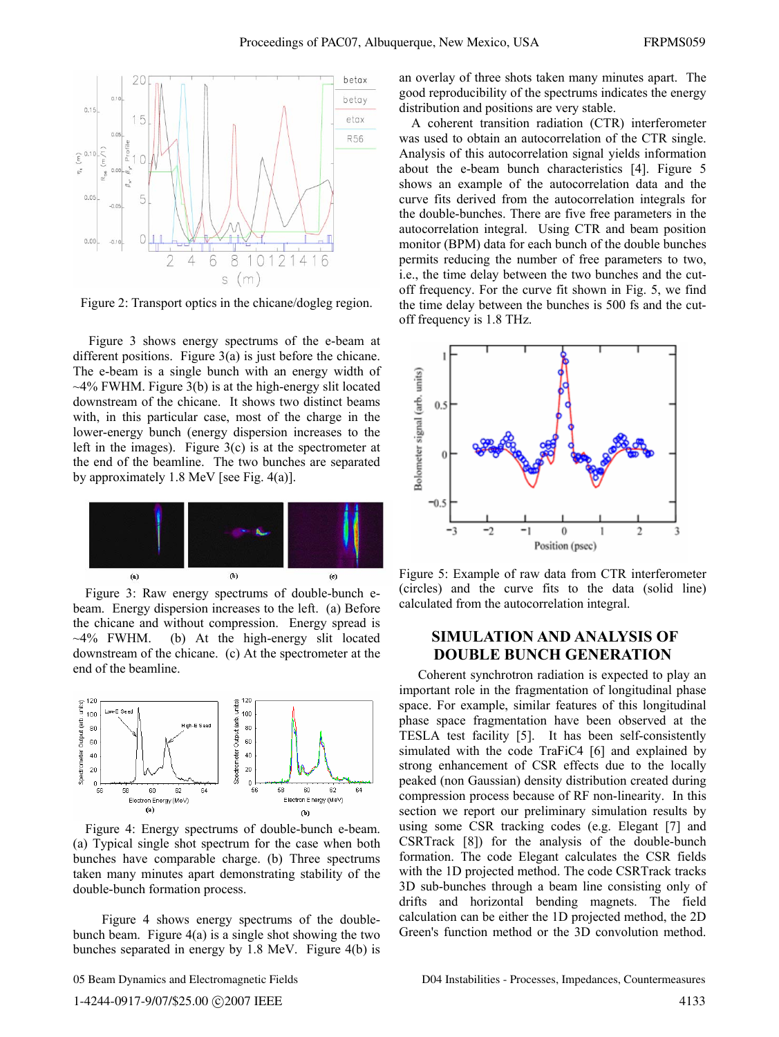

Figure 2: Transport optics in the chicane/dogleg region.

 Figure 3 shows energy spectrums of the e-beam at different positions. Figure 3(a) is just before the chicane. The e-beam is a single bunch with an energy width of  $\sim$ 4% FWHM. Figure 3(b) is at the high-energy slit located downstream of the chicane. It shows two distinct beams with, in this particular case, most of the charge in the lower-energy bunch (energy dispersion increases to the left in the images). Figure  $3(c)$  is at the spectrometer at the end of the beamline. The two bunches are separated by approximately 1.8 MeV [see Fig. 4(a)].



Figure 3: Raw energy spectrums of double-bunch ebeam. Energy dispersion increases to the left. (a) Before the chicane and without compression. Energy spread is  $\sim$ 4% FWHM. (b) At the high-energy slit located downstream of the chicane. (c) At the spectrometer at the end of the beamline.



Figure 4: Energy spectrums of double-bunch e-beam. (a) Typical single shot spectrum for the case when both bunches have comparable charge. (b) Three spectrums taken many minutes apart demonstrating stability of the double-bunch formation process.

 Figure 4 shows energy spectrums of the doublebunch beam. Figure  $4(a)$  is a single shot showing the two bunches separated in energy by 1.8 MeV. Figure 4(b) is

05 Beam Dynamics and Electromagnetic Fields

an overlay of three shots taken many minutes apart. The good reproducibility of the spectrums indicates the energy distribution and positions are very stable.

A coherent transition radiation (CTR) interferometer was used to obtain an autocorrelation of the CTR single. Analysis of this autocorrelation signal yields information about the e-beam bunch characteristics [4]. Figure 5 shows an example of the autocorrelation data and the curve fits derived from the autocorrelation integrals for the double-bunches. There are five free parameters in the autocorrelation integral. Using CTR and beam position monitor (BPM) data for each bunch of the double bunches permits reducing the number of free parameters to two, i.e., the time delay between the two bunches and the cutoff frequency. For the curve fit shown in Fig. 5, we find the time delay between the bunches is 500 fs and the cutoff frequency is 1.8 THz.



Figure 5: Example of raw data from CTR interferometer (circles) and the curve fits to the data (solid line) calculated from the autocorrelation integral.

# **SIMULATION AND ANALYSIS OF DOUBLE BUNCH GENERATION**

 Coherent synchrotron radiation is expected to play an important role in the fragmentation of longitudinal phase space. For example, similar features of this longitudinal phase space fragmentation have been observed at the TESLA test facility [5]. It has been self-consistently simulated with the code TraFiC4 [6] and explained by strong enhancement of CSR effects due to the locally peaked (non Gaussian) density distribution created during compression process because of RF non-linearity. In this section we report our preliminary simulation results by using some CSR tracking codes (e.g. Elegant [7] and CSRTrack [8]) for the analysis of the double-bunch formation. The code Elegant calculates the CSR fields with the 1D projected method. The code CSRTrack tracks 3D sub-bunches through a beam line consisting only of drifts and horizontal bending magnets. The field calculation can be either the 1D projected method, the 2D Green's function method or the 3D convolution method.